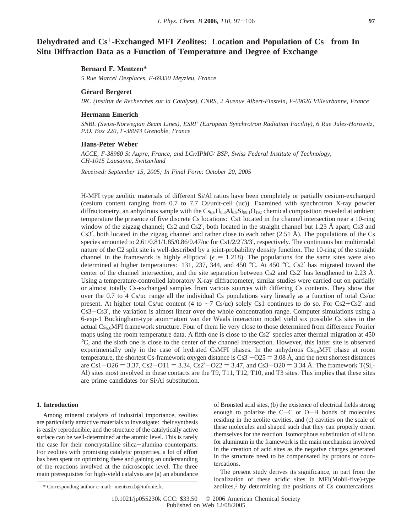# **Dehydrated and Cs**+**-Exchanged MFI Zeolites: Location and Population of Cs**<sup>+</sup> **from In Situ Diffraction Data as a Function of Temperature and Degree of Exchange**

## **Bernard F. Mentzen\***

*5 Rue Marcel Desplaces, F-69330 Meyzieu, France*

#### **Ge**´**rard Bergeret**

*IRC (Institut de Recherches sur la Catalyse), CNRS, 2 A*V*enue Albert-Einstein, F-69626 Villeurbanne, France*

## **Hermann Emerich**

*SNBL (Swiss-Norwegian Beam Lines), ESRF (European Synchrotron Radiation Facility), 6 Rue Jules-Horowitz, P.O. Box 220, F-38043 Grenoble, France*

#### **Hans-Peter Weber**

*ACCE, F-38960 St Aupre, France, and LCr/IPMC/ BSP, Swiss Federal Institute of Technology, CH-1015 Lausanne, Switzerland*

*Recei*V*ed: September 15, 2005; In Final Form: October 20, 2005*

H-MFI type zeolitic materials of different Si/Al ratios have been completely or partially cesium-exchanged (cesium content ranging from 0.7 to 7.7 Cs/unit-cell (uc)). Examined with synchrotron X-ray powder diffractometry, an anhydrous sample with the  $CS_{6.6}H_{0.3}Al_{6.9}Si_{89.1}O_{192}$  chemical composition revealed at ambient temperature the presence of five discrete Cs locations: Cs1 located in the channel intersection near a 10-ring window of the zigzag channel; Cs2 and Cs2', both located in the straight channel but 1.23 Å apart; Cs3 and Cs3<sup>'</sup>, both located in the zigzag channel and rather close to each other  $(2.51 \text{ Å})$ . The populations of the Cs species amounted to 2.61/0.81/1.85/0.86/0.47/uc for Cs1/2/2'/3/3', respectively. The continuous but multimodal nature of the C2 split site is well-described by a joint-probability density function. The 10-ring of the straight channel in the framework is highly elliptical ( $\epsilon = 1.218$ ). The populations for the same sites were also determined at higher temperatures: 131, 237, 344, and 450 °C. At 450 °C, Cs2′ has migrated toward the center of the channel intersection, and the site separation between Cs2 and Cs2′ has lengthened to 2.23 Å. Using a temperature-controlled laboratory X-ray diffractometer, similar studies were carried out on partially or almost totally Cs-exchanged samples from various sources with differing Cs contents. They show that over the 0.7 to 4 Cs/uc range all the individual Cs populations vary linearly as a function of total Cs/uc present. At higher total Cs/uc content (4 to <sup>∼</sup>7 Cs/uc) solely Cs1 continues to do so. For Cs2+Cs2′ and Cs3+Cs3′, the variation is almost linear over the whole concentration range. Computer simulations using a 6-exp-1 Buckingham-type atom-atom van der Waals interaction model yield six possible Cs sites in the actual  $CS_{6.6}$ MFI framework structure. Four of them lie very close to those determined from difference Fourier maps using the room temperature data. A fifth one is close to the Cs2′ species after thermal migration at 450 °C, and the sixth one is close to the center of the channel intersection. However, this latter site is observed experimentally only in the case of hydrated CsMFI phases. In the anhydrous  $Cs<sub>6.6</sub>MFI$  phase at room temperature, the shortest Cs-framework oxygen distance is  $Cs3′-O25 = 3.08$  Å, and the next shortest distances are Cs1-O26 = 3.37, Cs2-O11 = 3.34, Cs2′-O22 = 3.47, and Cs3-O20 = 3.34 Å. The framework T(Si,-Al) sites most involved in these contacts are the T9, T11, T12, T10, and T3 sites. This implies that these sites are prime candidates for Si/Al substitution.

## **1. Introduction**

Among mineral catalysts of industrial importance, zeolites are particularly attractive materials to investigate: their synthesis is easily reproducible, and the structure of the catalytically active surface can be well-determined at the atomic level. This is rarely the case for their noncrystalline silica-alumina counterparts. For zeolites with promising catalytic properties, a lot of effort has been spent on optimizing these and gaining an understanding of the reactions involved at the microscopic level. The three main prerequisites for high-yield catalysis are (a) an abundance

of Brønsted acid sites, (b) the existence of electrical fields strong enough to polarize the C-C or O-H bonds of molecules residing in the zeolite cavities, and (c) cavities on the scale of these molecules and shaped such that they can properly orient themselves for the reaction. Isomorphous substitution of silicon for aluminum in the framework is the main mechanism involved in the creation of acid sites as the negative charges generated in the structure need to be compensated by protons or countercations.

The present study derives its significance, in part from the localization of these acidic sites in MFI(Mobil-five)-type \* Corresponding author e-mail: mentzen.b@infonie.fr. by determining the positions of Cs countercations.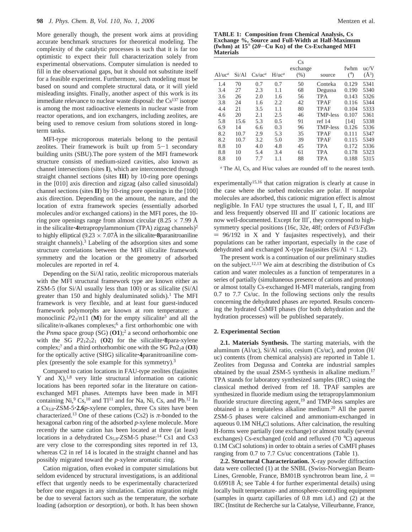More generally though, the present work aims at providing accurate benchmark structures for theoretical modeling. The complexity of the catalytic processes is such that it is far too optimistic to expect their full characterization solely from experimental observations. Computer simulation is needed to fill in the observational gaps, but it should not substitute itself for a feasible experiment. Furthermore, such modeling must be based on sound and complete structural data, or it will yield misleading insights. Finally, another aspect of this work is its immediate relevance to nuclear waste disposal: the  $Cs<sup>137</sup>$  isotope is among the most radioactive elements in nuclear waste from reactor operations, and ion exchangers, including zeolites, are being used to remove cesium from solutions stored in longterm tanks.

MFI-type microporous materials belong to the pentasil zeolites. Their framework is built up from  $5-1$  secondary building units (SBU).The pore system of the MFI framework structure consists of medium-sized cavities, also known as channel intersections (sites **I**), which are interconnected through straight channel sections (sites **III**) by 10-ring pore openings in the  $[010]$  axis direction and zigzag (also called sinusoïdal) channel sections (sites **II**) by 10-ring pore openings in the [100] axis direction. Depending on the amount, the nature, and the location of extra framework species (essentially adsorbed molecules and/or exchanged cations) in the MFI pores, the 10 ring pore openings range from almost circular (8.25  $\times$  7.99 Å in the silicalite**·4**tetrapropylammonium (TPA) zigzag channels)<sup>2</sup> to highly elliptical  $(9.23 \times 7.07\text{\AA})$  in the silicalite **8**paranitroaniline straight channels).<sup>3</sup> Labeling of the adsorption sites and some structure correlations between the MFI silicalite framework symmetry and the location or the geometry of adsorbed molecules are reported in ref 4.

Depending on the Si/Al ratio, zeolitic microporous materials with the MFI structural framework type are known either as ZSM-5 (for Si/Al usually less than 100) or as silicalite (Si/Al greater than 150 and highly dealuminated solids).<sup>1</sup> The MFI framework is very flexible, and at least four guest-induced framework polymorphs are known at rom temperature: a monoclinic  $P2_1/n11$  (M) for the empty silicalite<sup>5</sup> and all the silicalite/*n*-alkanes complexes;<sup>6</sup> a first orthorhombic one with the *Pnma* space group (SG) (**O1**);2 a second orthorhombic one with the SG  $P2_12_12_1$  (O2) for the silicalite **8**para-xylene complex;7 and a third orthorhombic one with the SG Pn21a (**O3**) for the optically active (SHG) silicalite'**4**paranitroaniline complex (presently the sole example for this symmetry).3

Compared to cation locations in FAU-type zeolites (faujasites Y and  $X$ ),<sup>1,8</sup> very little structural information on cationic locations has been reported sofar in the literature on cationexchanged MFI phases. Attempts have been made in MFI containing  $Ni$ ,  $^{9}Cs$ ,  $^{10}$  and  $Ti$  and for Na, Ni, Cs, and Pb.<sup>12</sup> In a Cs3.8-ZSM-5'**2.6***p*-xylene complex, three Cs sites have been characterized.<sup>13</sup> One of these cations (Cs2) is  $\pi$ -bonded to the hexagonal carbon ring of the adsorbed *p*-xylene molecule. More recently the same cation has been located at three (at least) locations in a dehydrated  $Cs_{5.8}$ -ZSM-5 phase:<sup>14</sup> Cs1 and Cs3 are very close to the corresponding sites reported in ref 13, whereas C2 in ref 14 is located in the straight channel and has possibly migrated toward the *p*-xylene aromatic ring.

Cation migration, often evoked in computer simulations but seldom evidenced by structural investigations, is an additional effect that urgently needs to be experimentally characterized before one engages in any simulation. Cation migration might be due to several factors such as the temperature, the sorbate loading (adsorption *or* desorption), or both. It has been shown

|                  | <b>TABLE 1: Composition from Chemical Analysis, Cs</b>                      |
|------------------|-----------------------------------------------------------------------------|
|                  | Exchange %, Source and Full-Width at Half-Maximum                           |
|                  | (fwhm) at $15^{\circ}$ (2 $\theta$ –Cu K $\alpha$ ) of the Cs-Exchanged MFI |
| <b>Materials</b> |                                                                             |

| $Al/uc^a$ | Si/Al | $Cs/uc^a$ | $H/uc^a$ | Cs<br>exchange<br>(% ) | source          | fwhm<br>$(^\circ)$ | uc/V<br>$(\AA^3)$ |
|-----------|-------|-----------|----------|------------------------|-----------------|--------------------|-------------------|
| 1.4       | 70    | 0.7       | 0.7      | 50                     | Conteka         | 0.129              | 5341              |
| 3.4       | 27    | 2.3       | 1.1      | 68                     | Degussa         | 0.190              | 5340              |
| 3.6       | 26    | 2.0       | 1.6      | 56                     | <b>TPA</b>      | 0.143              | 5326              |
| 3.8       | 24    | 1.6       | 2.2      | 42                     | <b>TPAF</b>     | 0.116              | 5344              |
| 4.4       | 21    | 3.5       | 1.1      | 80                     | <b>TPAF</b>     | 0.104              | 5333              |
| 4.6       | 20    | 2.1       | 2.5      | 46                     | <b>TMP-less</b> | 0.107              | 5361              |
| 5.8       | 15.6  | 5.3       | 0.5      | 91                     | ref 14          | [14]               | 5338              |
| 6.9       | 14    | 6.6       | 0.3      | 96                     | <b>TMP-less</b> | 0.126              | 5336              |
| 8.2       | 10.7  | 2.9       | 5.3      | 35                     | <b>TPAF</b>     | 0.111              | 5347              |
| 8.2       | 10.7  | 3.2       | 5.0      | 39                     | <b>TPAF</b>     | 0.115              | 5349              |
| 8.8       | 10    | 4.0       | 4.8      | 45                     | <b>TPA</b>      | 0.172              | 5336              |
| 8.8       | 10    | 5.4       | 3.4      | 61                     | <b>TPA</b>      | 0.178              | 5323              |
| 8.8       | 10    | 7.7       | 1.1      | 88                     | <b>TPA</b>      | 0.188              | 5315              |
|           |       |           |          |                        |                 |                    |                   |

*<sup>a</sup>* The Al, Cs, and H/uc values are rounded off to the nearest tenth.

experimentally<sup>15,16</sup> that cation migration is clearly at cause in the case where the sorbed molecules are polar. If nonpolar molecules are adsorbed, this cationic migration effect is almost negligible. In FAU type structures the usual I, I′, II, and III′ and less frequently observed III and II′ cationic locations are now well-documented. Except for III′, they correspond to highsymmetry special positions (16c, 32e, 48f; orders of *Fd*3/*Fd*3*m*  $= 96/192$  in X and Y faujasites respectively), and their populations can be rather important, especially in the case of dehydrated and exchanged X-type faujasites  $(Si/A1 \le 1.2)$ .

The present work is a continuation of our preliminary studies on the subject.<sup>12,13</sup> We aim at describing the distribution of  $Cs$ cation and water molecules as a function of temperatures in a series of partially (simultaneous presence of cations and protons) or almost totally Cs-exchanged H-MFI materials, ranging from 0.7 to 7.7 Cs/uc. In the following sections only the results concerning the dehydrated phases are reported. Results concerning the hydrated CsMFI phases (for both dehydration and the hydration processes) will be published separately.

## **2. Experimental Section**

**2.1. Materials Synthesis.** The starting materials, with the aluminum (Al/uc), Si/Al ratio, cesium (Cs/uc), and proton (H/ uc) contents (from chemical analysis) are reported in Table 1. Zeolites from Degussa and Conteka are industrial samples obtained by the usual ZSM-5 synthesis in alkaline medium.17 TPA stands for laboratory synthesized samples (IRC) using the classical method derived from ref 18. TPAF samples are synthesized in fluoride medium using the tetrapropylammonium fluoride structure directing agent,<sup>19</sup> and TMP-less samples are obtained in a templateless alkaline medium.20 All the parent ZSM-5 phases were calcined and ammonium-exchanged in aqueous 0.1M NH4Cl solutions. After calcination, the resulting H-forms were partially (one exchange) or almost totally (several exchanges) Cs-exchanged (cold and refluxed (70 °C) aqueous 0.1M CsCl solutions) in order to obtain a series of CsMFI phases ranging from 0.7 to 7.7 Cs/uc concentrations (Table 1).

**2.2. Structural Characterization.** X-ray powder diffraction data were collected (1) at the SNBL (Swiss-Norwegian Beam-Lines, Grenoble, France, BM01B synchrotron beam line,  $\lambda$  = 0.69918 Å; see Table 4 for further experimental details) using locally built temperature- and atmosphere-controlling equipment (samples in quartz capillaries of 0.8 mm i.d.) and (2) at the IRC (Institut de Recherche sur la Catalyse, Villeurbanne, France,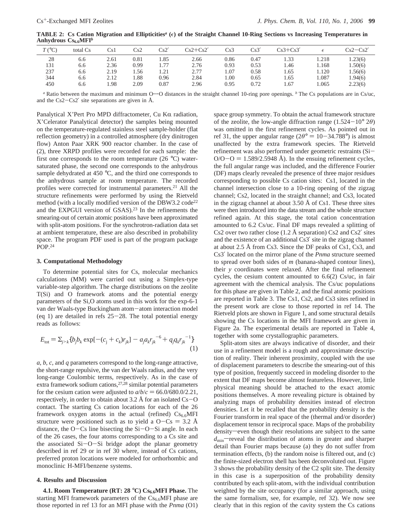**TABLE 2:** Cs Cation Migration and Ellipticities<sup>*a*</sup> ( $\epsilon$ ) of the Straight Channel 10-Ring Sections vs Increasing Temperatures in Anhydrous  $Cs_{6.6}MFI<sup>b</sup>$ 

| $T({}^{\circ}C)$ | total Cs | Cs 1 | Cs2  | Cs2' | $Cs2+Cs2'$ | Cs3  | Cs3' | $Cs3+Cs3'$ |       | $Cs2-Cs2'$ |
|------------------|----------|------|------|------|------------|------|------|------------|-------|------------|
| 28               | 6.6      | 2.61 | 0.81 | 1.85 | 2.66       | 0.86 | 0.47 | 1.33       | .218  | 1.23(6)    |
| 131              | 6.6      | 2.36 | 0.99 | 1.77 | 2.76       | 0.93 | 0.53 | 1.46       | l.168 | .50(6)     |
| 237              | 6.6      | 2.19 | .56  | 1.21 | 2.77       | 1.07 | 0.58 | 1.65       | 1.120 | 1.56(6)    |
| 344              | 6.6      | 2.12 | 1.88 | 0.96 | 2.84       | 1.00 | 0.65 | 1.65       | .087  | 1.94(6)    |
| 450              | 6.6      | .98  | 2.09 | 0.87 | 2.96       | 0.95 | 0.72 | 1.67       | .065  | 2.23(6)    |

*<sup>a</sup>* Ratio between the maximum and minimum O'''O distances in the straight channel 10-ring pore openings. *<sup>b</sup>* The Cs populations are in Cs/uc, and the Cs2-Cs2′ site separations are given in Å.

Panalytical X'Pert Pro MPD diffractometer, Cu K $\alpha$  radiation, X'Celerator Panalytical detector) the samples being mounted on the temperature-regulated stainless steel sample-holder (flat reflection geometry) in a controlled atmosphere (dry dinitrogen flow) Anton Paar XRK 900 reactor chamber. In the case of (2), three XRPD profiles were recorded for each sample: the first one corresponds to the room temperature (26 °C) watersaturated phase, the second one corresponds to the anhydrous sample dehydrated at 450 °C, and the third one corresponds to the anhydrous sample at room temperature. The recorded profiles were corrected for instrumental parameters.<sup>21</sup> All the structure refinements were performed by using the Rietveld method (with a locally modified version of the DBW3.2 code<sup>22</sup> and the EXPGUI version of GSAS).23 In the refinements the smearing-out of certain atomic positions have been approximated with split-atom positions. For the synchrotron-radiation data set at ambient temperature, these are also described in probability space. The program PDF used is part of the program package POP.24

## **3. Computational Methodology**

To determine potential sites for Cs, molecular mechanics calculations (MM) were carried out using a Simplex-type variable-step algorithm. The charge distributions on the zeolite T(Si) and O framework atoms and the potential energy parameters of the Si,O atoms used in this work for the exp-6-1 van der Waals-type Buckingham atom-atom interaction model (eq 1) are detailed in refs  $25-28$ . The total potential energy reads as follows:

$$
E_{\text{tot}} = \sum_{j > k} \{ b_j b_k \exp[-(c_j + c_k)r_{jk}] - a_j a_k r_{jk}^{-6} + q_j q_k r_{jk}^{-1} \}
$$
\n(1)

*a*, *b*, *c*, and *q* parameters correspond to the long-range attractive, the short-range repulsive, the van der Waals radius, and the very long-range Coulombic terms, respectively. As in the case of extra framework sodium cations, $27,28$  similar potential parameters for the cesium cation were adjusted to  $a/b/c = 66.0/680.0/2.21$ , respectively, in order to obtain about 3.2 Å for an isolated  $Cs - O$ contact. The starting Cs cation locations for each of the 26 framework oxygen atoms in the actual (refined)  $Cs_{6.6}MFI$ structure were positioned such as to yield a  $O - Cs = 3.2$  Å distance, the  $O$ -Cs line bisecting the  $Si-O-Si$  angle. In each of the 26 cases, the four atoms corresponding to a Cs site and the associated Si-O-Si bridge adopt the planar geometry described in ref 29 or in ref 30 where, instead of Cs cations, preferred proton locations were modeled for orthorhombic and monoclinic H-MFI/benzene systems.

#### **4. Results and Discussion**

**4.1. Room Temperature (RT: 28 °C) Cs<sub>6.6</sub>MFI Phase.** The starting MFI framework parameters of the  $Cs<sub>6.6</sub>MFI$  phase are those reported in ref 13 for an MFI phase with the *Pnma* (O1) space group symmetry. To obtain the actual framework structure of the zeolite, the low-angle diffraction range (1.524-10° <sup>2</sup>*θ*) was omitted in the first refinement cycles. As pointed out in ref 31, the upper angular range ( $2\theta$ <sup>o</sup> = 10-34.788<sup>o</sup>) is almost unaffected by the extra framework species. The Rietveld refinement was also performed under geometric restraints (Si- $O/O-O = 1.589/2.5948$  Å). In the ensuing refinement cycles, the full angular range was included, and the difference Fourier (DF) maps clearly revealed the presence of three major residues corresponding to possible Cs cation sites: Cs1, located in the channel intersection close to a 10-ring opening of the zigzag channel; Cs2, located in the straight channel; and Cs3, located in the zigzag channel at about 3.50 Å of Cs1. These three sites were then introduced into the data stream and the whole structure refined again. At this stage, the total cation concentration amounted to 6.2 Cs/uc. Final DF maps revealed a splitting of Cs2 over two rather close (1.2 Å separation) Cs2 and Cs2' sites and the existence of an additional Cs3′ site in the zigzag channel at about 2.5 Å from Cs3. Since the DF peaks of Cs1, Cs3, and Cs3′ located on the mirror plane of the *Pnma* structure seemed to spread over both sides of *m* (banana-shaped contour lines), their *y* coordinates were relaxed. After the final refinement cycles, the cesium content amounted to 6.6(2) Cs/uc, in fair agreement with the chemical analysis. The Cs/uc populations for this phase are given in Table 2, and the final atomic positions are reported in Table 3. The Cs1, Cs2, and Cs3 sites refined in the present work are close to those reported in ref 14. The Rietveld plots are shown in Figure 1, and some structural details showing the Cs locations in the MFI framework are given in Figure 2a. The experimental details are reported in Table 4, together with some crystallographic parameters.

Split-atom sites are always indicative of disorder, and their use in a refinement model is a rough and approximate description of reality. Their inherent proximity, coupled with the use of displacement parameters to describe the smearing-out of this type of position, frequently succeed in modeling disorder to the extent that DF maps become almost featureless. However, little physical meaning should be attached to the exact atomic positions themselves. A more revealing picture is obtained by analyzing maps of probability densities instead of electron densities. Let it be recalled that the probability density is the Fourier transform in real space of the (thermal and/or disorder) displacement tensor in reciprocal space. Maps of the probability density-even though their resolutions are subject to the same *d*<sub>min</sub>—reveal the distribution of atoms in greater and sharper detail than Fourier maps because (a) they do not suffer from termination effects, (b) the random noise is filtered out, and (c) the finite-sized electron shell has been deconvoluted out. Figure 3 shows the probability density of the C2 split site. The density in this case is a superposition of the probability density contributed by each split-atom, with the individual contribution weighted by the site occupancy (for a similar approach, using the same formalism, see, for example, ref 32). We now see clearly that in this region of the cavity system the Cs cations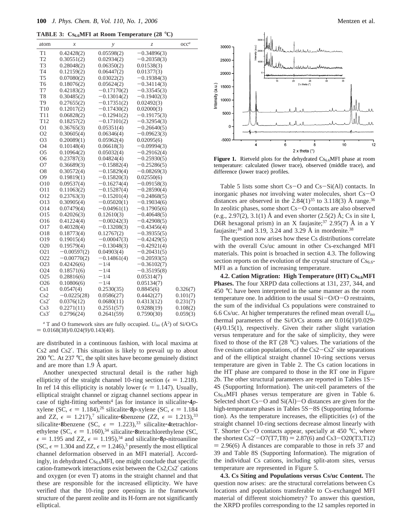**TABLE 3:**  $Cs_{6.6}$ MFI at Room Temperature (28 °C)

| atom            | $\boldsymbol{x}$ | у             | Z             | $\mathrm{occ}^a$ |
|-----------------|------------------|---------------|---------------|------------------|
| T1              | 0.42428(2)       | 0.05598(2)    | $-0.34896(3)$ |                  |
| T <sub>2</sub>  | 0.30551(2)       | 0.02934(2)    | $-0.20358(3)$ |                  |
| T3              | 0.28048(2)       | 0.06350(2)    | 0.01538(3)    |                  |
| T4              | 0.12159(2)       | 0.06447(2)    | 0.01377(3)    |                  |
| T <sub>5</sub>  | 0.07080(2)       | 0.03022(2)    | $-0.19384(3)$ |                  |
| T <sub>6</sub>  | 0.18076(2)       | 0.05624(2)    | $-0.34114(3)$ |                  |
| T7              | 0.42183(2)       | $-0.17170(2)$ | $-0.33545(3)$ |                  |
| T8              | 0.30485(2)       | $-0.13014(2)$ | $-0.19402(3)$ |                  |
| T9              | 0.27655(2)       | $-0.17351(2)$ | 0.02492(3)    |                  |
| T10             | 0.12017(2)       | $-0.17430(2)$ | 0.02000(3)    |                  |
| T11             | 0.06828(2)       | $-0.12941(2)$ | $-0.19175(3)$ |                  |
| T12             | 0.18257(2)       | $-0.17101(2)$ | $-0.32954(3)$ |                  |
| O1              | 0.36765(3)       | 0.05351(4)    | $-0.26640(5)$ |                  |
| O <sub>2</sub>  | 0.30605(4)       | 0.06346(4)    | $-0.09623(3)$ |                  |
| O3              | 0.20089(1)       | 0.05962(4)    | 0.02095(6)    |                  |
| O4              | 0.10148(4)       | 0.06618(3)    | $-0.09994(3)$ |                  |
| O <sub>5</sub>  | 0.10964(2)       | 0.05032(4)    | $-0.29162(4)$ |                  |
| O <sub>6</sub>  | 0.23787(3)       | 0.04824(4)    | $-0.25930(5)$ |                  |
| Ο7              | 0.36689(3)       | $-0.15882(4)$ | $-0.25286(5)$ |                  |
| O8              | 0.30572(4)       | $-0.15829(4)$ | $-0.08269(3)$ |                  |
| O <sub>9</sub>  | 0.19819(1)       | $-0.15820(3)$ | 0.02550(6)    |                  |
| O10             | 0.09537(4)       | $-0.16274(4)$ | $-0.09158(3)$ |                  |
| O11             | 0.11063(2)       | $-0.15287(4)$ | $-0.28590(4)$ |                  |
| O12             | 0.23763(3)       | $-0.15201(4)$ | $-0.24868(5)$ |                  |
| O13             | 0.30905(4)       | $-0.05020(1)$ | $-0.19034(6)$ |                  |
| O14             | 0.07479(4)       | $-0.04961(1)$ | $-0.17905(6)$ |                  |
| O15             | 0.42026(3)       | 0.12610(3)    | $-0.40648(5)$ |                  |
| O16             | 0.41224(4)       | $-0.00242(3)$ | $-0.42908(5)$ |                  |
| O17             | 0.40328(4)       | $-0.13208(3)$ | $-0.43456(4)$ |                  |
| O18             | 0.18773(4)       | 0.12767(2)    | $-0.39355(5)$ |                  |
| O19             | 0.19015(4)       | $-0.00047(3)$ | $-0.42429(5)$ |                  |
| O20             | 0.19579(4)       | $-0.13048(3)$ | $-0.42921(4)$ |                  |
| O <sub>21</sub> | $-0.00597(2)$    | 0.04903(4)    | $-0.20431(5)$ |                  |
| O <sub>22</sub> | $-0.00770(2)$    | $-0.14861(4)$ | $-0.20593(5)$ |                  |
| O23             | 0.42426(6)       | $-1/4$        | $-0.36102(7)$ |                  |
| O24             | 0.18571(6)       | $-1/4$        | $-0.35195(8)$ |                  |
| O <sub>25</sub> | 0.28816(6)       | $-1/4$        | 0.05314(7)    |                  |
| O <sub>26</sub> | 0.10806(6)       | $-1/4$        | 0.05134(7)    |                  |
| Cs1             | 0.0547(4)        | 0.2530(35)    | 0.8845(6)     | 0.326(7)         |
| Cs2             | $-0.0225(28)$    | 0.0586(27)    | 0.4442(27)    | 0.101(7)         |
| Cs2'            | 0.0376(12)       | 0.0680(11)    | 0.4313(12)    | 0.231(7)         |
| Cs3             | 0.2271(11)       | 0.2551(57)    | 0.9288(19)    | 0.108(2)         |
| Cs3'            | 0.2796(24)       | 0.2641(59)    | 0.7590(30)    | 0.059(3)         |

 $a$  T and O framework sites are fully occupied.  $U_{\text{iso}}$  ( $\AA$ <sup>2</sup>) of Si/O/Cs  $= 0.0168(38)/0.024(9)/0.143(40).$ 

are distributed in a continuous fashion, with local maxima at Cs2 and Cs2′. This situation is likely to prevail up to about 200 °C. At 237 °C, the split sites have become genuinely distinct and are more than 1.9 Å apart.

Another unexpected structural detail is the rather high ellipticity of the straight channel 10-ring section ( $\epsilon = 1.218$ ). In ref 14 this ellipticity is notably lower ( $\epsilon = 1.147$ ). Usually, elliptical straight channel or zigzag channel sections appear in case of tight-fitting sorbents<sup>4</sup> [as for instance in silicalite:  $4p$ xylene (SC,  $\epsilon = 1.184$ ),<sup>26</sup> silicalite<sup>-8</sup>*p*-xylene (SC,  $\epsilon = 1.184$ ) and ZZ,  $\epsilon = 1.217$ ,<sup>7</sup> silicalite**·6**benzene (ZZ,  $\epsilon = 1.213$ ),<sup>33</sup> silicalite: 8benzene (SC,  $\epsilon = 1.223$ ),<sup>33</sup> silicalite: 4tetrachlorethylene (SC,  $\epsilon = 1.160$ ),<sup>34</sup> silicalite**·8**tetrachlorethylene (SC,  $\epsilon = 1.195$  and ZZ,  $\epsilon = 1.195$ ,<sup>34</sup> and silicalite **8***p*-nitroaniline (SC,  $\epsilon = 1.304$  and ZZ,  $\epsilon = 1.246$ ),<sup>3</sup> presently the most elliptical channel deformation observed in an MFI material]. Accordingly, in dehydrated  $Cs_{6.6}$ MFI, one might conclude that specific cation-framework interactions exist between the Cs2,Cs2′ cations and oxygen (or even T) atoms in the straight channel and that these are responsible for the increased ellipticity. We have verified that the 10-ring pore openings in the framework structure of the parent zeolite and its H-form are not significantly elliptical.



Figure 1. Rietveld plots for the dehydrated Cs<sub>6.6</sub>MFI phase at room temperature: calculated (lower trace), observed (middle trace), and difference (lower trace) profiles.

Table 5 lists some short  $Cs - O$  and  $Cs - Si(A)$  contacts. In inorganic phases *not* involving water molecules, short Cs-O distances are observed in the  $2.84(1)^{35}$  to  $3.118(3)$  Å range.<sup>36</sup> In zeolitic phases, some short Cs-O contacts are also observed (e.g., 2.97(2), 3.1(1) Å and even shorter  $(2.5(2)$  Å; Cs in site I, D6R hexagonal prism) in an X faujasite;<sup>37</sup> 2.95(7) Å in a Y faujasite;<sup>16</sup> and 3.19, 3.24 and 3.29 Å in mordenite.<sup>38</sup>

The question now arises how these Cs distributions correlate with the overall Cs/uc amount in other Cs-exchanged MFI materials. This point is broached in section 4.3. The following section reports on the evolution of the crystal structure of  $Cs_{6.6}$ MFI as a function of increasing temperature.

**4.2. Cation Migration: High Temperature (HT) Cs<sub>6.6</sub>MFI Phases.** The four XRPD data collections at 131, 237, 344, and 450 °C have been interpreted in the same manner as the room temperature one. In addition to the usual Si-O/O-O restraints, the sum of the individual Cs populations were constrained to 6.6 Cs/uc. At higher temperatures the refined mean overall *U*iso thermal parameters of the Si/O/Cs atoms are 0.016(1)/0.029- (4)/0.15(1), respectively. Given their rather slight variation versus temperature and for the sake of simplicity, they were fixed to those of the RT (28 °C) values. The variations of the five cesium cation populations, of the Cs2-Cs2′ site separations and of the elliptical straight channel 10-ring sections versus temperature are given in Table 2. The Cs cation locations in the HT phase are compared to those in the RT one in Figure 2b. The other structural parameters are reported in Tables 1S-4S (Supporting Information). The unit-cell parameters of the  $Cs_{6.6}$ MFI phases versus temperature are given in Table 6. Selected short  $Cs - O$  and  $Si(AI) - O$  distances are given for the high-temperature phases in Tables 5S-8S (Supporting Information). As the temperature increases, the ellipticities  $(\epsilon)$  of the straight channel 10-ring sections decrease almost linearly with T. Shorter  $Cs - O$  contacts appear, specially at 450  $°C$ , where the shortest Cs2'–O7(T7,T8) = 2.87(6) and Cs3–O20(T3,T12)  $= 2.96(6)$  Å distances are comparable to those in refs 37 and 39 and Table 8S (Supporting Information). The migration of the individual Cs cations, including split-atom sites, versus temperature are represented in Figure 5.

**4.3. Cs Siting and Populations versus Cs/uc Content.** The question now arises: are the structural correlations between Cs locations and populations transferable to Cs-exchanged MFI material of different stoichiometry? To answer this question, the XRPD profiles corresponding to the 12 samples reported in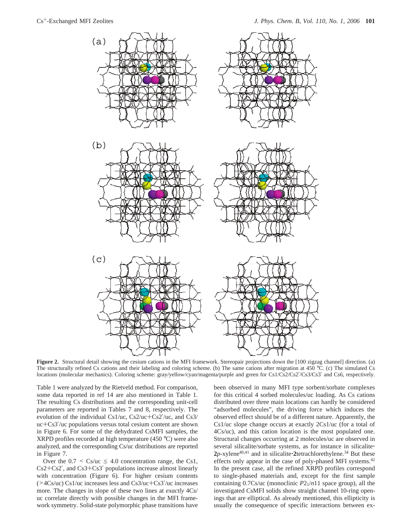

**Figure 2.** Structural detail showing the cesium cations in the MFI framework. Stereopair projections down the [100 zigzag channel] direction. (a) The structurally refined Cs cations and their labeling and coloring scheme. (b) The same cations after migration at 450 °C. (c) The simulated Cs locations (molecular mechanics). Coloring scheme: gray/yellow/cyan/magenta/purple and green for Cs1/Cs2/Cs2′/Cs3/Cs3′ and Cs6, respectively.

Table 1 were analyzed by the Rietveld method. For comparison, some data reported in ref 14 are also mentioned in Table 1. The resulting Cs distributions and the corresponding unit-cell parameters are reported in Tables 7 and 8, respectively. The evolution of the individual Cs1/uc, Cs2/uc+Cs2′/uc, and Cs3/ uc+Cs3′/uc populations versus total cesium content are shown in Figure 6. For some of the dehydrated CsMFI samples, the XRPD profiles recorded at high temperature (450 °C) were also analyzed, and the corresponding Cs/uc distributions are reported in Figure 7.

Over the  $0.7 \leq Cs/\text{uc} \leq 4.0$  concentration range, the Cs1, Cs2+Cs2′, and Cs3+Cs3′ populations increase almost linearly with concentration (Figure 6). For higher cesium contents (>4Cs/uc) Cs1/uc increases less and Cs3/uc+Cs3′/uc increases more. The changes in slope of these two lines at *exactly* 4Cs/ uc correlate directly with possible changes in the MFI framework symmetry. Solid-state polymorphic phase transitions have

been observed in many MFI type sorbent/sorbate complexes for this critical 4 sorbed molecules/uc loading. As Cs cations distributed over three main locations can hardly be considered "adsorbed molecules", the driving force which induces the observed effect should be of a different nature. Apparently, the Cs1/uc slope change occurs at exactly 2Cs1/uc (for a total of 4Cs/uc), and this cation location is the most populated one. Structural changes occurring at 2 molecules/uc are observed in several silicalite/sorbate systems, as for instance in silicalite'  $2p$ -xylene<sup>40,41</sup> and in silicalite  $\cdot$ 2tetrachlorethylene.<sup>34</sup> But these effects only appear in the case of poly-phased MFI systems.<sup>42</sup> In the present case, all the refined XRPD profiles correspond to single-phased materials and, except for the first sample containing 0.7Cs/uc (monoclinic *P*21/*n*11 space group), all the investigated CsMFI solids show straight channel 10-ring openings that are elliptical. As already mentioned, this ellipticity is usually the consequence of specific interactions between ex-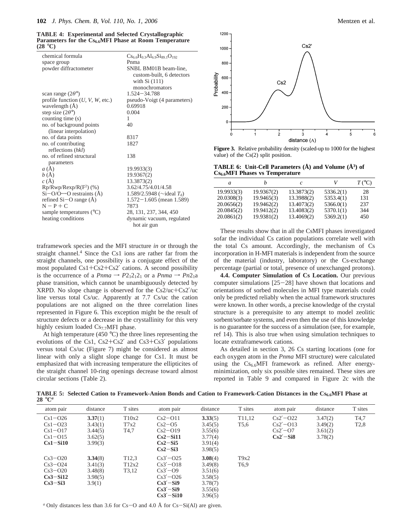**TABLE 4: Experimental and Selected Crystallographic** Parameters for the Cs<sub>6.6</sub>MFI Phase at Room Temperature **(28** °**C)**

| chemical formula                       | $Cs_{6.6}H_{0.3}Al_{6.9}Si_{89.1}O_{192}$ |
|----------------------------------------|-------------------------------------------|
| space group                            | Pnma                                      |
| powder diffractometer                  | SNBL BM01B beam-line,                     |
|                                        | custom-built, 6 detectors                 |
|                                        | with $Si(111)$                            |
|                                        | monochromators                            |
| scan range $(2\theta^{\circ})$         | $1.524 - 34.788$                          |
| profile function $(U, V, W,$ etc.)     | pseudo-Voigt (4 parameters)               |
| wavelength $(\text{\AA})$              | 0.69918                                   |
| step size $(2\theta^{\circ})$          | 0.004                                     |
| counting time (s)                      | 1                                         |
| no. of background points               | 40                                        |
| (linear interpolation)                 |                                           |
| no. of data points                     | 8317                                      |
| no. of contributing                    | 1827                                      |
| reflections (hkl)                      |                                           |
| no. of refined structural              | 138                                       |
| parameters                             |                                           |
| a(A)                                   | 19.9933(3)                                |
| b(A)                                   | 19.9367(2)                                |
| c(A)                                   | 13.3873(2)                                |
| $Rp/Rwp/Rexp/R(F2)$ (%)                | 3.62/4.75/4.01/4.58                       |
| $Si-O/O \cdots O$ restraints ( $\AA$ ) | 1.589/2.5948 ( $\sim$ ideal $T_d$ )       |
| refined $Si-O$ range $(\dot{A})$       | $1.572 - 1.605$ (mean 1.589)              |
| $N - P + C$                            | 7873                                      |
| sample temperatures $(^{\circ}C)$      | 28, 131, 237, 344, 450                    |
| heating conditions                     | dynamic vacuum, regulated                 |
|                                        | hot air gun                               |

traframework species and the MFI structure *in* or through the straight channel.<sup>4</sup> Since the Cs1 ions are rather far from the straight channels, one possibility is a conjugate effect of the most populated Cs1+Cs2+Cs2′ cations. A second possibility is the occurrence of a *Pnma*  $\rightarrow$  *P*2<sub>1</sub>2<sub>1</sub>2<sub>1</sub> or a *Pnma*  $\rightarrow$  *Pn*2<sub>1</sub>a phase transition, which cannot be unambiguously detected by XRPD. No slope change is observed for the Cs2/uc+Cs2′/uc line versus total Cs/uc. Apparently at 7.7 Cs/uc the cation populations are not aligned on the three correlation lines represented in Figure 6. This exception might be the result of structure defects or a decrease in the crystallinity for this very highly cesium loaded  $Cs_{7.7}$ MFI phase.

At high temperature (450 °C) the three lines representing the evolutions of the Cs1,  $Cs2+Cs2'$  and  $Cs3+Cs3'$  populations versus total Cs/uc (Figure 7) might be considered as almost linear with only a slight slope change for Cs1. It must be emphasized that with increasing temperature the ellipticites of the straight channel 10-ring openings decrease toward almost circular sections (Table 2).



**Figure 3.** Relative probability density (scaled-up to 1000 for the highest value) of the Cs(2) split position.

**TABLE 6: Unit-Cell Parameters (Å) and Volume (Å3) of Cs6.6MFI Phases vs Temperature**

| a          | n          | C          | V         | $T({}^{\circ}C)$ |
|------------|------------|------------|-----------|------------------|
| 19.9933(3) | 19.9367(2) | 13.3873(2) | 5336.2(1) | 28               |
| 20.0308(3) | 19.9465(3) | 13.3988(2) | 5353.4(1) | 131              |
| 20.0656(2) | 19.9462(2) | 13.4073(2) | 5366.0(1) | 237              |
| 20.0845(2) | 19.9412(2) | 13.4083(2) | 5370.1(1) | 344              |
| 20.0861(2) | 19.9381(2) | 13.4069(2) | 5369.2(1) | 450              |

These results show that in all the CsMFI phases investigated sofar the individual Cs cation populations correlate well with the total Cs amount. Accordingly, the mechanism of Cs incorporation in H-MFI materials is independent from the source of the material (industry, laboratory) or the Cs-exchange percentage (partial or total, presence of unexchanged protons).

**4.4. Computer Simulation of Cs Location.** Our previous computer simulations  $[25-28]$  have shown that locations and orientations of sorbed molecules in MFI type materials could only be predicted reliably when the actual framework structures were known. In other words, a precise knowledge of the crystal structure is a prerequisite to any attempt to model zeolitic sorbent/sorbate systems, and even then the use of this knowledge is no guarantee for the success of a simulation (see, for example, ref 14). This is also true when using simulation techniques to locate extraframework cations.

As detailed in section 3, 26 Cs starting locations (one for each oxygen atom in the *Pnma* MFI structure) were calculated using the  $Cs_{6.6}$ MFI framework as refined. After energyminimization, only six possible sites remained. These sites are reported in Table 9 and compared in Figure 2c with the

**TABLE 5: Selected Cation to Framework-Anion Bonds and Cation to Framework-Cation Distances in the Cs6.6MFI Phase at 28** °**C***<sup>a</sup>*

| atom pair   | distance | T sites            | atom pair     | distance | T sites             | atom pair    | distance | T sites           |
|-------------|----------|--------------------|---------------|----------|---------------------|--------------|----------|-------------------|
| $Cs1-026$   | 3.37(1)  | T10x2              | $Cs2-O11$     | 3.33(5)  | T <sub>11</sub> ,12 | $Cs2' - O22$ | 3.47(2)  | T <sub>4,7</sub>  |
| $Cs1-023$   | 3.43(1)  | T7x2               | $Cs2-05$      | 3.45(5)  | T <sub>5</sub> .6   | $Cs2′-013$   | 3.49(2)  | T <sub>2</sub> ,8 |
| $Cs1 - O17$ | 3.44(5)  | T <sub>4,7</sub>   | $Cs2 - O19$   | 3.55(6)  |                     | $Cs2'$ - O7  | 3.61(2)  |                   |
| $Cs1-015$   | 3.62(5)  |                    | $Cs2-Si11$    | 3.77(4)  |                     | $Cs2' - Si8$ | 3.78(2)  |                   |
| $Cs1-Si10$  | 3.99(3)  |                    | $Cs2-Si5$     | 3.91(4)  |                     |              |          |                   |
|             |          |                    | $Cs2-Si3$     | 3.98(5)  |                     |              |          |                   |
| $Cs3-O20$   | 3.34(8)  | T <sub>12,3</sub>  | $Cs3' - O25$  | 3.08(4)  | T9x2                |              |          |                   |
| $Cs3-O24$   | 3.41(3)  | T12x2              | $Cs3' - O18$  | 3.49(8)  | T <sub>6</sub> .9   |              |          |                   |
| $Cs3-O20$   | 3.48(8)  | T <sub>3</sub> ,12 | $Cs3' - O9$   | 3.51(6)  |                     |              |          |                   |
| $Cs3-Si12$  | 3.98(5)  |                    | $Cs3' - O26$  | 3.58(5)  |                     |              |          |                   |
| $Cs3-Si3$   | 3.9(1)   |                    | $Cs3' - Si9$  | 3.78(7)  |                     |              |          |                   |
|             |          |                    | $Cs3' - Si9$  | 3.55(6)  |                     |              |          |                   |
|             |          |                    | $Cs3' - Si10$ | 3.96(5)  |                     |              |          |                   |
|             |          |                    | $\sim$        |          |                     |              |          |                   |

<sup>*a*</sup> Only distances less than 3.6 for Cs-O and 4.0 Å for Cs-Si(Al) are given.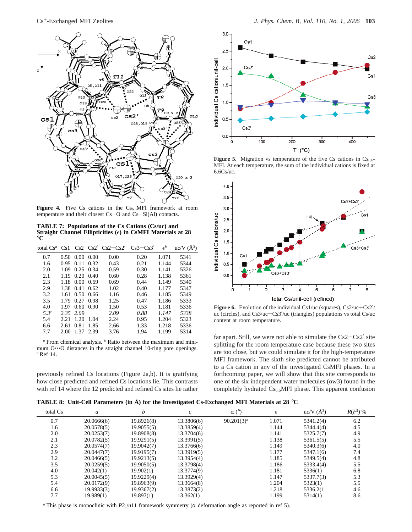

Figure 4. Five Cs cations in the Cs<sub>6.6</sub>MFI framework at room temperature and their closest Cs-O and Cs-Si(Al) contacts.

**TABLE 7: Populations of the Cs Cations (Cs/uc) and** Straight Channel Ellipticities ( $\epsilon$ ) in CsMFI Materials at 28 °**C**

| total $Cs^a$ | Cs1  |      |      | $Cs2 Cs2' Cs2+Cs2' Cs3+Cs3'$ |      | $\epsilon^b$ | $uc/V(A^3)$ |
|--------------|------|------|------|------------------------------|------|--------------|-------------|
| 0.7          | 0.50 | 0.00 | 0.00 | 0.00                         | 0.20 | 1.071        | 5341        |
| 1.6          | 0.95 | 0.11 | 0.32 | 0.43                         | 0.21 | 1.144        | 5344        |
| 2.0          | 1.09 | 0.25 | 0.34 | 0.59                         | 0.30 | 1.141        | 5326        |
| 2.1          | 1.19 | 0.20 | 0.40 | 0.60                         | 0.28 | 1.138        | 5361        |
| 2.3          | 1.18 | 0.00 | 0.69 | 0.69                         | 0.44 | 1.149        | 5340        |
| 2.9          | 1.38 | 0.41 | 0.62 | 1.02                         | 0.40 | 1.177        | 5347        |
| 3.2          | 1.61 | 0.50 | 0.66 | 1.16                         | 0.46 | 1.185        | 5349        |
| 3.5          | 1.79 | 0.27 | 0.98 | 1.25                         | 0.47 | 1.186        | 5333        |
| 4.0          | 1.97 | 0.60 | 0.90 | 1.50                         | 0.53 | 1.181        | 5336        |
| $5.3^{c}$    | 2.35 | 2.09 |      | 2.09                         | 0.88 | 1.147        | 5338        |
| 5.4          | 2.21 | 1.20 | 1.04 | 2.24                         | 0.95 | 1.204        | 5323        |
| 6.6          | 2.61 | 0.81 | 1.85 | 2.66                         | 1.33 | 1.218        | 5336        |
| 7.7          | 2.00 | 1.37 | 2.39 | 3.76                         | 1.94 | 1.199        | 5314        |

*<sup>a</sup>* From chemical analysis. *<sup>b</sup>* Ratio between the maximum and minimum O···O distances in the straight channel 10-ring pore openings. *c* Ref 14.

previously refined Cs locations (Figure 2a,b). It is gratifying how close predicted and refined Cs locations lie. This contrasts with ref 14 where the 12 predicted and refined Cs sites lie rather



Figure 5. Migration vs temperature of the five Cs cations in Cs<sub>6.6</sub>-MFI. At each temperature, the sum of the individual cations is fixed at 6.6Cs/uc.



Figure 6. Evolution of the individual Cs1/uc (squares), Cs2/uc+Cs2<sup>'</sup>/ uc (circles), and Cs3/uc+Cs3′/uc (triangles) populations vs total Cs/uc content at room temperature.

far apart. Still, we were not able to simulate the  $Cs2-Cs2'$  site splitting for the room temperature case because these two sites are too close, but we could simulate it for the high-temperature MFI framework. The sixth site predicted cannot be attributed to a Cs cation in any of the investigated CsMFI phases. In a forthcoming paper, we will show that this site corresponds to one of the six independent water molecules (ow3) found in the completely hydrated  $Cs_{6.6}$ MFI phase. This apparent confusion

**TABLE 8: Unit-Cell Parameters (in Å) for the Investigated Cs-Exchanged MFI Materials at 28** °**C**

| total Cs | a          | h          |            | $\alpha$ (°)  | $\epsilon$ | $uc/V(A^3)$ | $R(F^2)$ % |
|----------|------------|------------|------------|---------------|------------|-------------|------------|
| 0.7      | 20.0666(6) | 19.8926(8) | 13.3806(6) | $90.201(3)^a$ | 1.071      | 5341.2(4)   | 6.2        |
| 1.6      | 20.0578(5) | 19.9055(5) | 13.3859(4) |               | 1.144      | 5344.4(4)   | 4.5        |
| 2.0      | 20.0253(7) | 19.8908(8) | 13.3704(6) |               | 1.141      | 5325.7(7)   | 4.9        |
| 2.1      | 20.0782(5) | 19.9291(5) | 13.3991(5) |               | 1.138      | 5361.5(5)   | 5.5        |
| 2.3      | 20.0574(7) | 19.9042(7) | 13.3766(6) |               | 1.149      | 5340.3(6)   | 4.0        |
| 2.9      | 20.0447(7) | 19.9195(7) | 13.3919(5) |               | 1.177      | 5347.1(6)   | 7.4        |
| 3.2      | 20.0466(5) | 19.9213(5) | 13.3954(4) |               | 1.185      | 5349.5(4)   | 4.8        |
| 3.5      | 20.0259(5) | 19.9050(5) | 13.3798(4) |               | 1.186      | 5333.4(4)   | 5.5        |
| 4.0      | 20.042(1)  | 19.902(1)  | 13.3774(9) |               | 1.181      | 5336(1)     | 6.8        |
| 5.3      | 20.0045(5) | 19.9229(4) | 13.3929(4) |               | 1.147      | 5337.7(3)   | 5.3        |
| 5.4      | 20.0172(9) | 19.8963(9) | 13.3664(8) |               | 1.204      | 5323(1)     | 5.5        |
| 6.6      | 19.9933(3) | 19.9367(2) | 13.3873(2) |               | 1.218      | 5336.2(1)   | 4.6        |
| 7.7      | 19.989(1)  | 19.897(1)  | 13.362(1)  |               | 1.199      | 5314(1)     | 8.6        |

*a* This phase is monoclinic with *P*2<sub>1</sub>/*n*11 framework symmetry ( $\alpha$  deformation angle as reported in ref 5).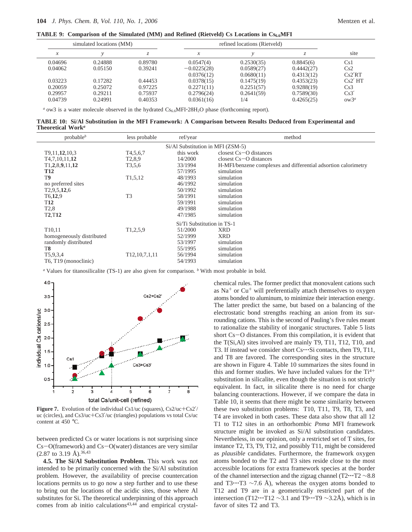**TABLE 9:** Comparison of the Simulated (MM) and Refined (Rietveld) Cs Locations in  $Cs_{6.6}$ MFI

|                | simulated locations (MM) |         |               | refined locations (Rietveld) |            |         |  |
|----------------|--------------------------|---------|---------------|------------------------------|------------|---------|--|
| v<br>$\lambda$ |                          | ٠.      | л             |                              |            | site    |  |
| 0.04696        | 0.24888                  | 0.89780 | 0.0547(4)     | 0.2530(35)                   | 0.8845(6)  | Cs1     |  |
| 0.04062        | 0.05150                  | 0.39241 | $-0.0225(28)$ | 0.0589(27)                   | 0.4442(27) | Cs2     |  |
|                |                          |         | 0.0376(12)    | 0.0680(11)                   | 0.4313(12) | Cs2'RT  |  |
| 0.03223        | 0.17282                  | 0.44453 | 0.0378(15)    | 0.1475(19)                   | 0.4353(23) | Cs2' HT |  |
| 0.20059        | 0.25072                  | 0.97225 | 0.2271(11)    | 0.2251(57)                   | 0.9288(19) | Cs3     |  |
| 0.29957        | 0.29211                  | 0.75937 | 0.2796(24)    | 0.2641(59)                   | 0.7589(30) | Cs3'    |  |
| 0.04739        | 0.24991                  | 0.40353 | 0.0361(16)    | 1/4                          | 0.4265(25) | $ow3^a$ |  |
|                |                          |         |               |                              |            |         |  |

<sup>*a*</sup> ow3 is a water molecule observed in the hydrated  $CS_{6.6}$ MFI $\cdot$ 28H<sub>2</sub>O phase (forthcoming report).

**TABLE 10: Si/Al Substitution in the MFI Framework: A Comparison between Results Deduced from Experimental and Theoretical Work***<sup>a</sup>*

| probable <sup>b</sup>             | less probable            | ref/year                   | method                                                         |  |  |  |
|-----------------------------------|--------------------------|----------------------------|----------------------------------------------------------------|--|--|--|
| Si/Al Substitution in MFI (ZSM-5) |                          |                            |                                                                |  |  |  |
| T9,11,12,10,3                     | T <sub>4</sub> , 5, 6, 7 | this work                  | closest $Cs - O$ distances                                     |  |  |  |
| T <sub>4</sub> , 7, 10, 11, 12    | T <sub>2</sub> ,8,9      | 14/2000                    | closest $Cs$ – O distances                                     |  |  |  |
| T1,2,8,9,11,12                    | T <sub>3</sub> , 5, 6    | 33/1994                    | H-MFI/benzene complexes and differential adsortion calorimetry |  |  |  |
| <b>T12</b>                        |                          | 57/1995                    | simulation                                                     |  |  |  |
| T9                                | T <sub>1</sub> ,5,12     | 48/1993                    | simulation                                                     |  |  |  |
| no preferred sites                |                          | 46/1992                    | simulation                                                     |  |  |  |
| T <sub>2</sub> , 9, 5, 12, 6      |                          | 50/1992                    | simulation                                                     |  |  |  |
| T <sub>6</sub> ,12,9              | T <sub>3</sub>           | 58/1991                    | simulation                                                     |  |  |  |
| <b>T12</b>                        |                          | 59/1991                    | simulation                                                     |  |  |  |
| T <sub>2</sub> ,8                 |                          | 49/1988                    | simulation                                                     |  |  |  |
| <b>T2,T12</b>                     |                          | 47/1985                    | simulation                                                     |  |  |  |
|                                   |                          | Si/Ti Substitution in TS-1 |                                                                |  |  |  |
| T <sub>10</sub> ,11               | T1,2,5,9                 | 51/2000                    | <b>XRD</b>                                                     |  |  |  |
| homogeneously distributed         |                          | 52/1999                    | <b>XRD</b>                                                     |  |  |  |
| randomly distributed              |                          | 53/1997                    | simulation                                                     |  |  |  |
| T8                                |                          | 55/1995                    | simulation                                                     |  |  |  |
| T5,9,3,4                          | T12, 10, 7, 1, 11        | 56/1994                    | simulation                                                     |  |  |  |
| T6, T19 (monoclinic)              |                          | 54/1993                    | simulation                                                     |  |  |  |

*<sup>a</sup>* Values for titanosilicalite (TS-1) are also given for comparison. *<sup>b</sup>* With most probable in bold.



**Figure 7.** Evolution of the individual Cs1/uc (squares), Cs2/uc+Cs2<sup>'</sup>/ uc (circles), and Cs3/uc+Cs3′/uc (triangles) populations vs total Cs/uc content at 450 °C.

between predicted Cs or water locations is not surprising since  $Cs-O(framework)$  and  $Cs-O(water)$  distances are very similar  $(2.87 \text{ to } 3.19 \text{ Å})$ . 36,43

**4.5. The Si/Al Substitution Problem.** This work was not intended to be primarily concerned with the Si/Al substitution problem*.* However, the availability of precise countercation locations permits us to go now a step further and to use these to bring out the locations of the acidic sites, those where Al substitutes for Si. The theoretical underpinning of this approach comes from ab initio calculations $43,44$  and empirical crystalchemical rules. The former predict that monovalent cations such as  $Na<sup>+</sup>$  or Cu<sup>+</sup> will preferentially attach themselves to oxygen atoms bonded to aluminum, to minimize their interaction energy. The latter predict the same, but based on a balancing of the electrostatic bond strengths reaching an anion from its surrounding cations. This is the second of Pauling's five rules meant to rationalize the stability of inorganic structures. Table 5 lists short Cs-O distances. From this compilation, it is evident that the T(Si,Al) sites involved are mainly T9, T11, T12, T10, and T3. If instead we consider short Cs…Si contacts, then T9, T11, and T8 are favored. The corresponding sites in the structure are shown in Figure 4. Table 10 summarizes the sites found in this and former studies. We have included values for the  $Ti^{4+}$ substitution in silicalite, even though the situation is not strictly equivalent. In fact, in silicalite there is no need for charge balancing counteractions. However, if we compare the data in Table 10, it seems that there might be some similarity between these two substitution problems: T10, T11, T9, T8, T3, and T4 are invoked in both cases. These data also show that all 12 T1 to T12 sites in an orthorhombic *Pnma* MFI framework structure might be invoked as Si/Al substitution candidates. Nevertheless, in our opinion, only a restricted set of T sites, for instance T2, T3, T9, T12, and possibly T11, might be considered as *plausible* candidates. Furthermore, the framework oxygen atoms bonded to the T2 and T3 sites reside close to the most accessible locations for extra framework species at the border of the channel intersection and the zigzag channel (T2'''T2 <sup>∼</sup>8.8 and T3 $\cdot \cdot$ 'T3 ~7.6 Å), whereas the oxygen atoms bonded to T12 and T9 are in a geometrically restricted part of the intersection (T12…T12  $\sim$ 3.1 and T9…T9  $\sim$ 3.2Å), which is in favor of sites T2 and T3.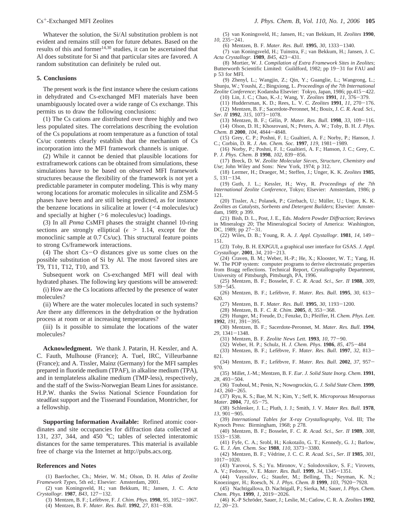Whatever the solution, the Si/Al substitution problem is not evident and remains still open for future debates. Based on the results of this and former<sup>14,30</sup> studies, it can be ascertained that Al does substitute for Si and that particular sites are favored. A random substitution can definitely be ruled out.

## **5. Conclusions**

The present work is the first instance where the cesium cations in dehydrated and Cs-exchanged MFI materials have been unambiguously located over a wide range of Cs exchange. This permits us to draw the following conclusions:

(1) The Cs cations are distributed over three highly and two less populated sites. The correlations describing the evolution of the Cs populations at room temperature as a function of total Cs/uc contents clearly establish that the mechanism of Cs incorporation into the MFI framework channels is unique.

(2) While it cannot be denied that plausible locations for extraframework cations can be obtained from simulations, these simulations have to be based on observed MFI framework structures because the flexibility of the framework is not yet a predictable parameter in computer modeling. This is why many wrong locations for aromatic molecules in silicalite and ZSM-5 phases have been and are still being predicted, as for instance the benzene locations in silicalite at lower (<4 molecules/uc) and specially at higher (>6 molecules/uc) loadings.

(3) In all *Pnma* CsMFI phases the straight channel 10-ring sections are strongly elliptical ( $\epsilon > 1.14$ , except for the monoclinic sample at 0.7 Cs/uc). This structural feature points to strong Cs/framework interactions.

(4) The short Cs-O distances give us some clues on the possible substitution of Si by Al. The most favored sites are T9, T11, T12, T10, and T3.

Subsequent work on Cs-exchanged MFI will deal with hydrated phases. The following key questions will be answered:

(i) How are the Cs locations affected by the presence of water molecules?

(ii) Where are the water molecules located in such systems? Are there any differences in the dehydration or the hydration process at room or at increasing temperatures?

(iii) Is it possible to simulate the locations of the water molecules?

**Acknowledgment.** We thank J. Patarin, H. Kessler, and A. C. Fauth, Mulhouse (France); A. Tuel, IRC, Villeurbanne (France); and A. Tissler, Mainz (Germany) for the MFI samples prepared in fluoride medium (TPAF), in alkaline medium (TPA), and in templateless alkaline medium (TMP-less), respectively, and the staff of the Swiss-Norwegian Beam Lines for assistance. H.P.W. thanks the Swiss National Science Foundation for steadfast support and the Tisserand Foundation, Montricher, for a fellowship.

**Supporting Information Available:** Refined atomic coordinates and site occupancies for diffraction data collected at 131, 237, 344, and 450 °C; tables of selected interatomic distances for the same temperatures. This material is available free of charge via the Internet at http://pubs.acs.org.

#### **References and Notes**

(1) Baerlocher, Ch.; Meier, W. M.; Olson, D. H. *Atlas of Zeolite Framework Types*, 5th ed.; Elsevier: Amsterdam, 2001.

(2) van Koningsveld, H.; van Bekkum, H.; Jansen, J. C. *Acta Crystallogr.* **<sup>1987</sup>**, *B43*, 127-132.

(3) Mentzen, B. F.; Lefe`bvre, F. *J. Chim. Phys.* **<sup>1998</sup>**, *<sup>95</sup>*, 1052-1067. (4) Mentzen, B. F. *Mater. Res. Bull*. **<sup>1992</sup>**, *<sup>27</sup>*, 831-838.

*<sup>10</sup>*, 235-241.

*Acta Crystallogr.* **<sup>1989</sup>**, *B45*, 423-431. (8) Mortier, W. J. *Compilation of Extra Framework Sites in Zeolites*; Butterworth Scientific Limited: Guildford, 1982; pp 19-31 for FAU and p 53 for MFI.

(6) Mentzen, B. F. *Mater. Res. Bull*. **<sup>1995</sup>**, *<sup>30</sup>*, 1333-1340.

(5) van Koningsveld, H.; Jansen, H.; van Bekkum, H. *Zeolites* **1990**,

(9) Zhenyl, L.; Wangjin, Z.; Qin, Y.; Guanglie, L.; Wangrong, L.; Shunju, W.; Youshi, Z.; Bingxiong, L. *Proceedings of the 7th International Zeolite Conference*; Kodansha Elsevier: Tokyo, Japan, 1986; pp.415-422.

- (10) Lin, J. C.; Chao, K.-J.; Wang, Y. *Zeolites* **<sup>1991</sup>**, *<sup>11</sup>*, 376-379.
- (11) Huddersman, K. D.; Rees, L. V. C. *Zeolites* **<sup>1991</sup>**, *<sup>11</sup>*, 270-176.
- (12) Mentzen, B. F.; Sacerdote-Peronnet, M.; Bouix, J. *C. R. Acad. Sci., Ser. II* **<sup>1992</sup>**, *<sup>315</sup>*, 1073-1078.

(13) Mentzen, B. F.; Ge´lin, P. *Mater. Res. Bull*. **<sup>1998</sup>**, *<sup>33</sup>*, 109-116. (14) Olson, D. H.; Khosrovani, N.; Peters, A. W.; Toby, B. H. *J. Phys. Chem. B* **<sup>2000</sup>**, *<sup>104</sup>*, 4844-4848.

(15) Grey, C. P.; Poshni, F. I.; Gualtieri, A. F.; Norby, P.; Hanson, J. C.; Corbin, D. R. *J. Am. Chem. Soc*. **<sup>1997</sup>**, *<sup>119</sup>*, 1981-1989.

(16) Norby, P.; Poshni, F. I.; Gualtieri, A. F.; Hanson, J. C.; Grey, C. P. *J. Phys. Chem. B* **<sup>1998</sup>**, *<sup>102</sup>*, 839-856.

(17) Breck, D. W. Zeolite Molecular Sieves, Structure, Chemistry and *Use*; John Wiley and Sons: New York, 1974; p 312.

(18) Lermer, H.; Draeger, M.; Steffen, J.; Unger, K. K. *Zeolites* **1985**, *<sup>5</sup>*, 131-134.

(19) Guth, J. L.; Kessler, H.; Wey, R. *Proceedings of the 7th International Zeolite Conference*, Tokyo; Elsevier: Amsterdam, 1986; p 121.

(20) Tissler, A.; Polanek, P.; Girrbach, U.; Müller, U.; Unger, K. K. *Zeolites as Catalysts, Sorbents and Detergent Builders*; Elsevier: Amsterdam, 1989; p 399.

(21) Bish, D. L., Post, J. E., Eds. *Modern Powder Diffraction*; Reviews in Mineralogy 20; The Mineralogical Society of America: Washington, DC, 1989; pp  $27-31$ .<br>(22) Wiles, D. B.:

(22) Wiles, D. B.; Young, R. A. *J. Appl. Ctystallogr*. **<sup>1981</sup>**, *<sup>14</sup>*, 149- 151.

(23) Toby, B. H. EXPGUI, a graphical user interface for GSAS. *J. Appl. Crystallogr*. **<sup>2001</sup>**, *<sup>34</sup>*, 210-213.

(24) Craven, B. M.; Weber, H.-P.; He, X.; Klooster, W. T.; Yang, H. W. The POP system: computer programs to derive electrostatic properties from Bragg reflections. Technical Report, Crystallography Department, University of Pittsburgh, Pittsburgh, PA, 1996.

- (25) Mentzen, B. F.; Bosselet, F. *C. R. Acad. Sci*., *Ser. II* **1988**, *309*, <sup>539</sup>-545.
- (26) Mentzen, B. F.; Lefe`bvre, F. *Mater. Res. Bull*. **<sup>1995</sup>**, *<sup>30</sup>*, 613- 620.
	- (27) Mentzen, B. F. *Mater. Res. Bull*. **<sup>1995</sup>**, *<sup>30</sup>*, 1193-1200.

(28) Mentzen, B. F. *C. R. Chim.* **<sup>2005</sup>**, *<sup>8</sup>*, 353-368.

(29) Hunger, M.; Freude, D.; Fenzke, D.; Pfeiffer, H. *Chem. Phys. Lett.* **<sup>1992</sup>**, *<sup>191</sup>*, 391-395.

(30) Mentzen, B. F.; Sacerdote-Peronnet, M. *Mater. Res. Bull*. **1994**, *<sup>29</sup>*, 1341-1348.

- (31) Mentzen, B. F. *Zeolite News Lett.* **<sup>1993</sup>**, *<sup>10</sup>*, 77-90.
- (32) Weber, H. P.; Schulz, H. *J. Chem. Phys*. **<sup>1986</sup>**, *<sup>85</sup>*, 475-<sup>484</sup>
- (33) Mentzen, B. F.; Lefe`bvre, F. *Mater. Res. Bull*. **<sup>1997</sup>**, *<sup>32</sup>*, 813-
- 821. (34) Mentzen, B. F.; Lefe`bvre, F. *Mater. Res. Bull*. **<sup>2002</sup>**, *<sup>37</sup>*, 957- 970.

(35) Millet, J.-M.; Mentzen, B. F. *Eur. J. Solid State Inorg. Chem*. **1991**, *<sup>28</sup>*, 493-504.

- (36) Touboul, M.; Penin, N.; Nowogrockin, G. *J. Solid State Chem*. **1999**,
- *<sup>143</sup>*, 260-265. (37) Ryu, K. S.; Bae, M. N.; Kim, Y.; Seff, K. *Microporous Mesoporous Mater.* **<sup>2004</sup>**, *<sup>71</sup>*, 65-75.
- (38) Schlenker, J. L.; Pluth, J. J.; Smith, J. V. *Mater Res. Bull*. **1978**, *<sup>13</sup>*, 901-905.
- (39) *International Tables for X-ray Crystallography*, Vol. III; The Kynoch Press: Birmingham, 1968; p 278.
- (40) Mentzen, B. F.; Bosselet, F. *C. R. Acad. Sci.*, *Ser. II* **1989**, *308*, <sup>1533</sup>-1538.
- (41) Fyfe, C. A.; Srobl, H.; Kokotailo, G. T.; Kennedy, G. J.; Barlow, G. E. *J. Am. Chem. Soc* **<sup>1988</sup>**, *<sup>110</sup>*, 3373-3380.
- (42) Mentzen, B. F.; Ve´drine, J. C. *C. R. Acad. Sci*., *Ser. II* **1985**, *301*, <sup>1017</sup>-1020. (43) Yarovoi, S. S.; Yu. Mironov, V.; Solodovnikov, S. F.; Virovets,
- A. V.; Fedorov, V. E. *Mater. Res. Bull*. **<sup>1999</sup>**, *<sup>34</sup>*, 1345-1351.

(44) Vayssilov, G.; Staufer, M.; Belling, Th.; Neyman, K. N.; Knoezinger, H.; Roesch, N. *J. Phys*. *Chem. B* **<sup>1999</sup>**, *<sup>103</sup>*, 7920-7928.

- (45) Nachtigallova, D. Nachtigall, P.; Sierka, M.; Sauer, J. *Phys. Chem. Chem. Phys*. **<sup>1999</sup>**, *<sup>1</sup>*, 2019-2026.
- (46) K.-P Schro¨der, Sauer, J.; Leslie, M.; Catlow, C. R. A. *Zeolites* **1992**, *<sup>12</sup>*, 20-23.